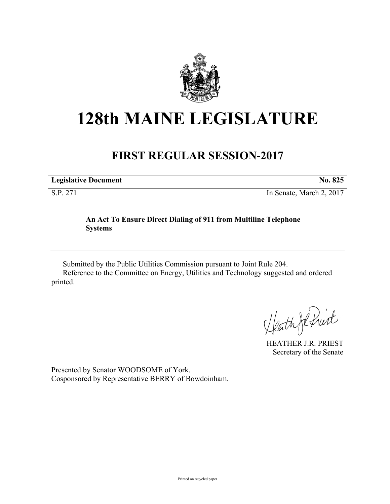

## **128th MAINE LEGISLATURE**

## **FIRST REGULAR SESSION-2017**

**Legislative Document No. 825**

S.P. 271 In Senate, March 2, 2017

## **An Act To Ensure Direct Dialing of 911 from Multiline Telephone Systems**

Submitted by the Public Utilities Commission pursuant to Joint Rule 204. Reference to the Committee on Energy, Utilities and Technology suggested and ordered printed.

Heath JR fruit

HEATHER J.R. PRIEST Secretary of the Senate

Presented by Senator WOODSOME of York. Cosponsored by Representative BERRY of Bowdoinham.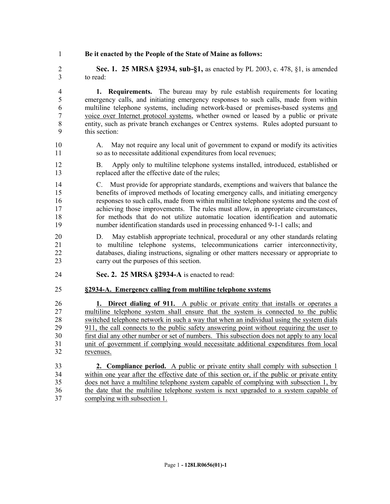**Be it enacted by the People of the State of Maine as follows:**

 **Sec. 1. 25 MRSA §2934, sub-§1,** as enacted by PL 2003, c. 478, §1, is amended to read:

 **1. Requirements.** The bureau may by rule establish requirements for locating emergency calls, and initiating emergency responses to such calls, made from within multiline telephone systems, including network-based or premises-based systems and voice over Internet protocol systems, whether owned or leased by a public or private entity, such as private branch exchanges or Centrex systems. Rules adopted pursuant to this section:

- A. May not require any local unit of government to expand or modify its activities so as to necessitate additional expenditures from local revenues;
- B. Apply only to multiline telephone systems installed, introduced, established or replaced after the effective date of the rules;
- C. Must provide for appropriate standards, exemptions and waivers that balance the benefits of improved methods of locating emergency calls, and initiating emergency responses to such calls, made from within multiline telephone systems and the cost of achieving those improvements. The rules must allow, in appropriate circumstances, for methods that do not utilize automatic location identification and automatic number identification standards used in processing enhanced 9-1-1 calls; and
- D. May establish appropriate technical, procedural or any other standards relating to multiline telephone systems, telecommunications carrier interconnectivity, databases, dialing instructions, signaling or other matters necessary or appropriate to carry out the purposes of this section.
- **Sec. 2. 25 MRSA §2934-A** is enacted to read:
- **§2934-A. Emergency calling from multiline telephone systems**

 **1. Direct dialing of 911.** A public or private entity that installs or operates a multiline telephone system shall ensure that the system is connected to the public switched telephone network in such a way that when an individual using the system dials 29 911, the call connects to the public safety answering point without requiring the user to first dial any other number or set of numbers. This subsection does not apply to any local unit of government if complying would necessitate additional expenditures from local revenues.

 **2. Compliance period.** A public or private entity shall comply with subsection 1 within one year after the effective date of this section or, if the public or private entity does not have a multiline telephone system capable of complying with subsection 1, by the date that the multiline telephone system is next upgraded to a system capable of complying with subsection 1.